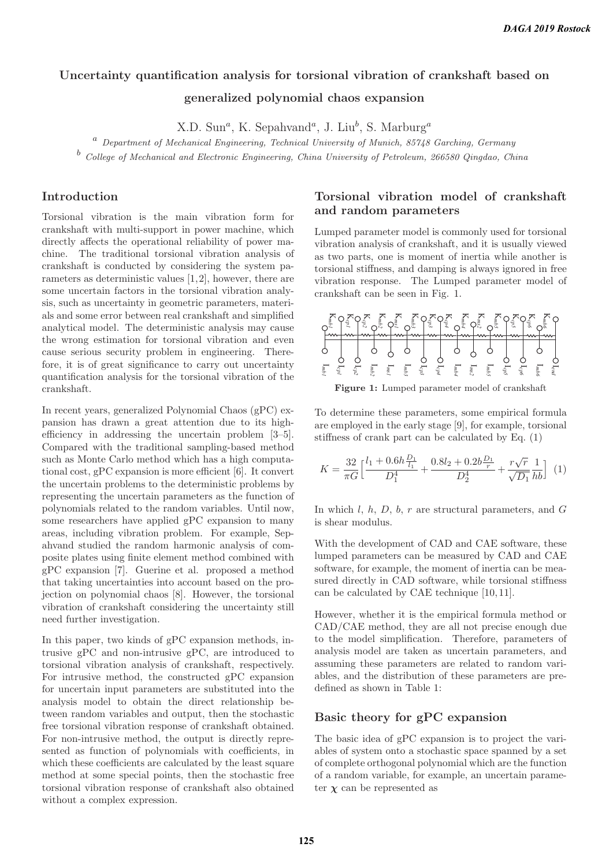# **Uncertainty quantification analysis for torsional vibration of crankshaft based on generalized polynomial chaos expansion**

 $X.D. Sum<sup>a</sup>, K. Sepahvand<sup>a</sup>, J. Liu<sup>b</sup>, S. Marburg<sup>a</sup>$ 

 $a$  Department of Mechanical Engineering, Technical University of Munich, 85748 Garching, Germany

<sup>b</sup> College of Mechanical and Electronic Engineering, China University of Petroleum, 266580 Qingdao, China

# **Introduction**

Torsional vibration is the main vibration form for crankshaft with multi-support in power machine, which directly affects the operational reliability of power machine. The traditional torsional vibration analysis of crankshaft is conducted by considering the system parameters as deterministic values [1,2], however, there are some uncertain factors in the torsional vibration analysis, such as uncertainty in geometric parameters, materials and some error between real crankshaft and simplified analytical model. The deterministic analysis may cause the wrong estimation for torsional vibration and even cause serious security problem in engineering. Therefore, it is of great significance to carry out uncertainty quantification analysis for the torsional vibration of the crankshaft.

In recent years, generalized Polynomial Chaos (gPC) expansion has drawn a great attention due to its highefficiency in addressing the uncertain problem [3–5]. Compared with the traditional sampling-based method such as Monte Carlo method which has a high computational cost, gPC expansion is more efficient [6]. It convert the uncertain problems to the deterministic problems by representing the uncertain parameters as the function of polynomials related to the random variables. Until now, some researchers have applied gPC expansion to many areas, including vibration problem. For example, Sepahvand studied the random harmonic analysis of composite plates using finite element method combined with gPC expansion [7]. Guerine et al. proposed a method that taking uncertainties into account based on the projection on polynomial chaos [8]. However, the torsional vibration of crankshaft considering the uncertainty still need further investigation.

In this paper, two kinds of gPC expansion methods, intrusive gPC and non-intrusive gPC, are introduced to torsional vibration analysis of crankshaft, respectively. For intrusive method, the constructed gPC expansion for uncertain input parameters are substituted into the analysis model to obtain the direct relationship between random variables and output, then the stochastic free torsional vibration response of crankshaft obtained. For non-intrusive method, the output is directly represented as function of polynomials with coefficients, in which these coefficients are calculated by the least square method at some special points, then the stochastic free torsional vibration response of crankshaft also obtained without a complex expression.

# **Torsional vibration model of crankshaft and random parameters**

Lumped parameter model is commonly used for torsional vibration analysis of crankshaft, and it is usually viewed as two parts, one is moment of inertia while another is torsional stiffness, and damping is always ignored in free vibration response. The Lumped parameter model of crankshaft can be seen in Fig. 1.



**Figure 1:** Lumped parameter model of crankshaft

To determine these parameters, some empirical formula are employed in the early stage [9], for example, torsional stiffness of crank part can be calculated by Eq. (1)

$$
K = \frac{32}{\pi G} \Big[ \frac{l_1 + 0.6h \frac{D_1}{l_1}}{D_1^4} + \frac{0.8l_2 + 0.2b \frac{D_1}{r}}{D_2^4} + \frac{r\sqrt{r}}{\sqrt{D_1}} \frac{1}{hb} \Big] (1)
$$

In which l, h, D, b, r are structural parameters, and  $G$ is shear modulus.

With the development of CAD and CAE software, these lumped parameters can be measured by CAD and CAE software, for example, the moment of inertia can be measured directly in CAD software, while torsional stiffness can be calculated by CAE technique [10, 11].

However, whether it is the empirical formula method or CAD/CAE method, they are all not precise enough due to the model simplification. Therefore, parameters of analysis model are taken as uncertain parameters, and assuming these parameters are related to random variables, and the distribution of these parameters are predefined as shown in Table 1:

#### **Basic theory for gPC expansion**

The basic idea of gPC expansion is to project the variables of system onto a stochastic space spanned by a set of complete orthogonal polynomial which are the function of a random variable, for example, an uncertain parameter  $\chi$  can be represented as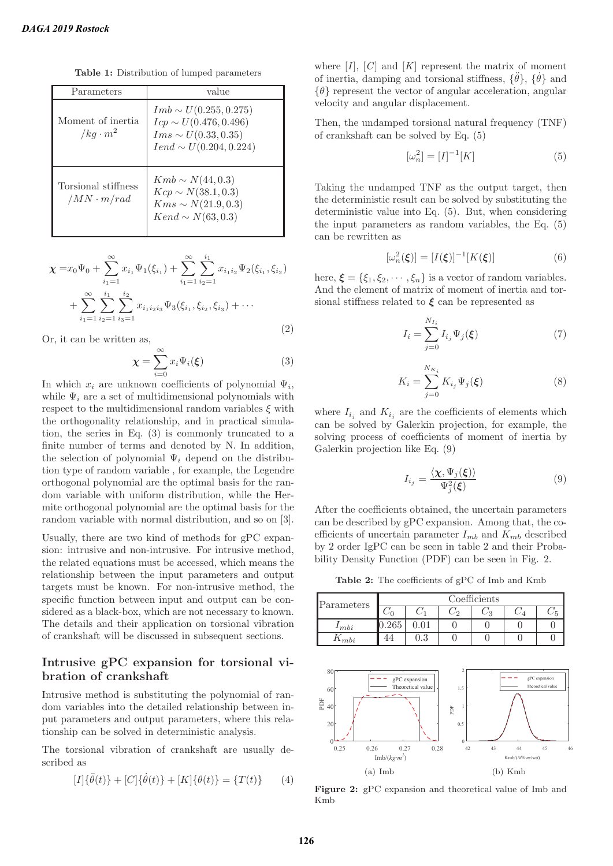**Table 1:** Distribution of lumped parameters

| Parameters                                              | value                                                                                                                |
|---------------------------------------------------------|----------------------------------------------------------------------------------------------------------------------|
| Moment of inertia<br>$/kg \cdot m^2$                    | $Imb \sim U(0.255, 0.275)$<br>$Icp \sim U(0.476, 0.496)$<br>$Im s \sim U(0.33, 0.35)$<br>$Iend \sim U(0.204, 0.224)$ |
| Torsional stiffness<br>$\langle MN \cdot m/rad \rangle$ | $Kmb \sim N(44, 0.3)$<br>$Kcp \sim N(38.1, 0.3)$<br>$Kms \sim N(21.9, 0.3)$<br>$Kend \sim N(63, 0.3)$                |

$$
\chi = x_0 \Psi_0 + \sum_{i_1=1}^{\infty} x_{i_1} \Psi_1(\xi_{i_1}) + \sum_{i_1=1}^{\infty} \sum_{i_2=1}^{i_1} x_{i_1 i_2} \Psi_2(\xi_{i_1}, \xi_{i_2})
$$

$$
+ \sum_{i_1=1}^{\infty} \sum_{i_2=1}^{i_1} \sum_{i_3=1}^{i_2} x_{i_1 i_2 i_3} \Psi_3(\xi_{i_1}, \xi_{i_2}, \xi_{i_3}) + \cdots
$$
(2)

Or, it can be written as,

$$
\chi = \sum_{i=0}^{\infty} x_i \Psi_i(\xi)
$$
 (3)

In which  $x_i$  are unknown coefficients of polynomial  $\Psi_i$ , while  $\Psi_i$  are a set of multidimensional polynomials with respect to the multidimensional random variables  $\xi$  with the orthogonality relationship, and in practical simulation, the series in Eq. (3) is commonly truncated to a finite number of terms and denoted by N. In addition, the selection of polynomial  $\Psi_i$  depend on the distribution type of random variable , for example, the Legendre orthogonal polynomial are the optimal basis for the random variable with uniform distribution, while the Hermite orthogonal polynomial are the optimal basis for the random variable with normal distribution, and so on [3].

Usually, there are two kind of methods for gPC expansion: intrusive and non-intrusive. For intrusive method, the related equations must be accessed, which means the relationship between the input parameters and output targets must be known. For non-intrusive method, the specific function between input and output can be considered as a black-box, which are not necessary to known. The details and their application on torsional vibration of crankshaft will be discussed in subsequent sections.

# **Intrusive gPC expansion for torsional vibration of crankshaft**

Intrusive method is substituting the polynomial of random variables into the detailed relationship between input parameters and output parameters, where this relationship can be solved in deterministic analysis.

The torsional vibration of crankshaft are usually described as

$$
[I]\{\ddot{\theta}(t)\} + [C]\{\dot{\theta}(t)\} + [K]\{\theta(t)\} = \{T(t)\} \qquad (4)
$$

where  $[I]$ ,  $[C]$  and  $[K]$  represent the matrix of moment of inertia, damping and torsional stiffness,  $\{\ddot{\theta}\}$ ,  $\{\dot{\theta}\}$  and  $\{\theta\}$  represent the vector of angular acceleration, angular velocity and angular displacement.

Then, the undamped torsional natural frequency (TNF) of crankshaft can be solved by Eq. (5)

$$
[\omega_n^2] = [I]^{-1}[K] \tag{5}
$$

Taking the undamped TNF as the output target, then the deterministic result can be solved by substituting the deterministic value into Eq. (5). But, when considering the input parameters as random variables, the Eq. (5) can be rewritten as

$$
[\omega_n^2(\xi)] = [I(\xi)]^{-1}[K(\xi)] \tag{6}
$$

here,  $\boldsymbol{\xi} = {\xi_1, \xi_2, \cdots, \xi_n}$  is a vector of random variables. And the element of matrix of moment of inertia and torsional stiffness related to *ξ* can be represented as

$$
I_i = \sum_{j=0}^{N_{I_i}} I_{i_j} \Psi_j(\xi)
$$
 (7)

$$
K_i = \sum_{j=0}^{N_{K_i}} K_{i_j} \Psi_j(\boldsymbol{\xi})
$$
\n(8)

where  $I_{i_j}$  and  $K_{i_j}$  are the coefficients of elements which can be solved by Galerkin projection, for example, the solving process of coefficients of moment of inertia by Galerkin projection like Eq. (9)

$$
I_{i_j} = \frac{\langle \chi, \Psi_j(\xi) \rangle}{\Psi_j^2(\xi)} \tag{9}
$$

After the coefficients obtained, the uncertain parameters can be described by gPC expansion. Among that, the coefficients of uncertain parameter  $I_{mb}$  and  $K_{mb}$  described by 2 order IgPC can be seen in table 2 and their Probability Density Function (PDF) can be seen in Fig. 2.

**Table 2:** The coefficients of gPC of Imb and Kmb

| Parameters       | Coefficients |     |     |  |  |  |
|------------------|--------------|-----|-----|--|--|--|
|                  |              |     | د ، |  |  |  |
| 1 <sub>mbi</sub> | 265          |     |     |  |  |  |
| mbi              |              | ).3 |     |  |  |  |



**Figure 2:** gPC expansion and theoretical value of Imb and Kmb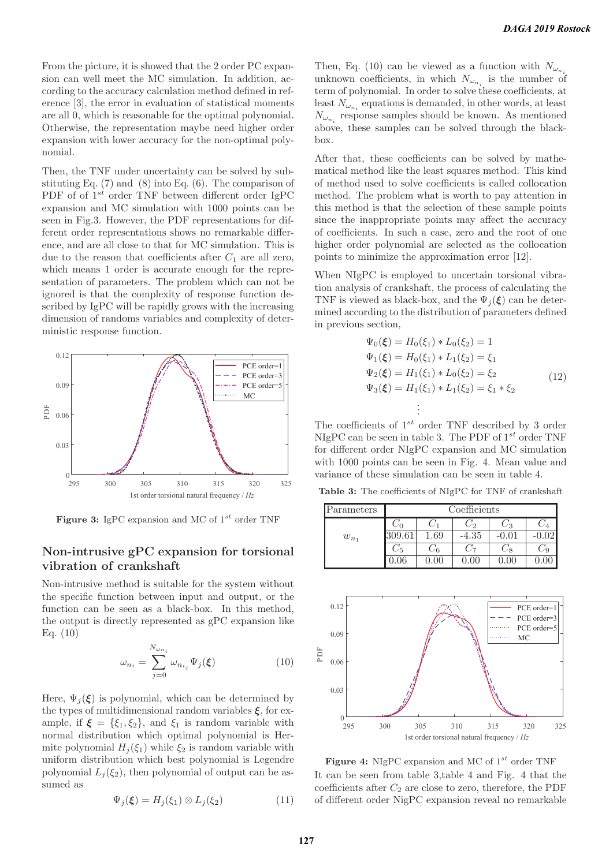From the picture, it is showed that the 2 order PC expansion can well meet the MC simulation. In addition, according to the accuracy calculation method defined in reference [3], the error in evaluation of statistical moments are all 0, which is reasonable for the optimal polynomial. Otherwise, the representation maybe need higher order expansion with lower accuracy for the non-optimal polynomial.

Then, the TNF under uncertainty can be solved by substituting Eq.  $(7)$  and  $(8)$  into Eq.  $(6)$ . The comparison of PDF of of  $1^{st}$  order TNF between different order IgPC expansion and MC simulation with 1000 points can be seen in Fig.3. However, the PDF representations for different order representations shows no remarkable difference, and are all close to that for MC simulation. This is due to the reason that coefficients after  $C_1$  are all zero, which means 1 order is accurate enough for the representation of parameters. The problem which can not be ignored is that the complexity of response function described by IgPC will be rapidly grows with the increasing dimension of randoms variables and complexity of deterministic response function.



**Figure 3:** IgPC expansion and MC of  $1^{st}$  order TNF

### **Non-intrusive gPC expansion for torsional vibration of crankshaft**

Non-intrusive method is suitable for the system without the specific function between input and output, or the function can be seen as a black-box. In this method, the output is directly represented as gPC expansion like Eq. (10)

$$
\omega_{n_i} = \sum_{j=0}^{N_{\omega_{n_i}}} \omega_{n_{i_j}} \Psi_j(\xi)
$$
\n(10)

Here,  $\Psi_i(\boldsymbol{\xi})$  is polynomial, which can be determined by the types of multidimensional random variables *ξ*, for example, if  $\xi = {\xi_1, \xi_2}$ , and  $\xi_1$  is random variable with normal distribution which optimal polynomial is Hermite polynomial  $H_i(\xi_1)$  while  $\xi_2$  is random variable with uniform distribution which best polynomial is Legendre polynomial  $L_i(\xi_2)$ , then polynomial of output can be assumed as

$$
\Psi_j(\boldsymbol{\xi}) = H_j(\xi_1) \otimes L_j(\xi_2) \tag{11}
$$

Then, Eq. (10) can be viewed as a function with  $N_{\omega_n}$ unknown coefficients, in which  $N_{\omega_{n_i}}$  is the number of term of polynomial. In order to solve these coefficients, at least  $N_{\omega_{n_i}}$  equations is demanded, in other words, at least  $N_{\omega_{n}}$  response samples should be known. As mentioned above, these samples can be solved through the blackbox.

After that, these coefficients can be solved by mathematical method like the least squares method. This kind of method used to solve coefficients is called collocation method. The problem what is worth to pay attention in this method is that the selection of these sample points since the inappropriate points may affect the accuracy of coefficients. In such a case, zero and the root of one higher order polynomial are selected as the collocation points to minimize the approximation error [12].

When NIgPC is employed to uncertain torsional vibration analysis of crankshaft, the process of calculating the TNF is viewed as black-box, and the  $\Psi_i(\boldsymbol{\xi})$  can be determined according to the distribution of parameters defined in previous section,

$$
\Psi_0(\xi) = H_0(\xi_1) * L_0(\xi_2) = 1
$$
\n
$$
\Psi_1(\xi) = H_0(\xi_1) * L_1(\xi_2) = \xi_1
$$
\n
$$
\Psi_2(\xi) = H_1(\xi_1) * L_0(\xi_2) = \xi_2
$$
\n
$$
\Psi_3(\xi) = H_1(\xi_1) * L_1(\xi_2) = \xi_1 * \xi_2
$$
\n
$$
\vdots
$$
\n(12)

The coefficients of  $1^{st}$  order TNF described by 3 order NIgPC can be seen in table 3. The PDF of  $1^{st}$  order TNF for different order NIgPC expansion and MC simulation with 1000 points can be seen in Fig. 4. Mean value and variance of these simulation can be seen in table 4.

**Table 3:** The coefficients of NIgPC for TNF of crankshaft

| Parameters | Coefficients |     |         |     |  |
|------------|--------------|-----|---------|-----|--|
|            |              |     | 22      | - 3 |  |
| $w_{n_1}$  |              | .69 | $-4.35$ |     |  |
|            | -5           | 46  |         |     |  |
|            |              |     |         |     |  |



**Figure 4:** NIgPC expansion and MC of  $1^{st}$  order TNF It can be seen from table 3,table 4 and Fig. 4 that the coefficients after  $C_2$  are close to zero, therefore, the PDF of different order NigPC expansion reveal no remarkable